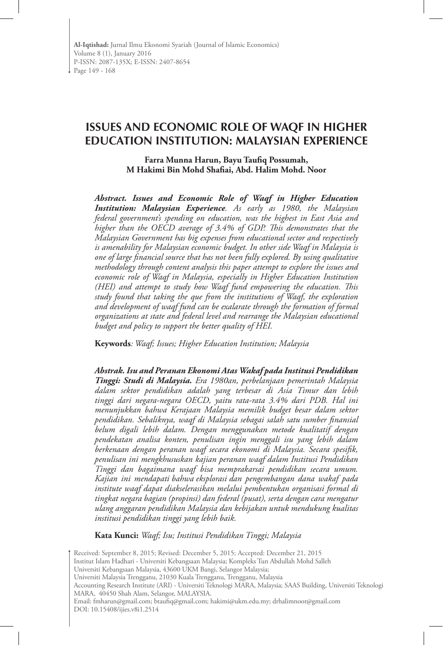# **ISSUES AND ECONOMIC ROLE OF WAQF IN HIGHER EDUCATION INSTITUTION: MALAYSIAN EXPERIENCE**

**Farra Munna Harun, Bayu Taufiq Possumah, M Hakimi Bin Mohd Shafiai, Abd. Halim Mohd. Noor**

*Abstract. Issues and Economic Role of Waqf in Higher Education Institution: Malaysian Experience. As early as 1980, the Malaysian federal government's spending on education, was the highest in East Asia and higher than the OECD average of 3.4% of GDP. This demonstrates that the Malaysian Government has big expenses from educational sector and respectively is amenability for Malaysian economic budget. In other side Waqf in Malaysia is one of large financial source that has not been fully explored. By using qualitative methodology through content analysis this paper attempt to explore the issues and economic role of Waqf in Malaysia, especially in Higher Education Institution (HEI) and attempt to study how Waqf fund empowering the education. This study found that taking the que from the institutions of Waqf, the exploration and development of waqf fund can be exalarate through the formation of formal organizations at state and federal level and rearrange the Malaysian educational budget and policy to support the better quality of HEI.* 

**Keywords***: Waqf; Issues; Higher Education Institution; Malaysia* 

*Abstrak. Isu and Peranan Ekonomi Atas Wakaf pada Institusi Pendidikan Tinggi: Studi di Malaysia. Era 1980an, perbelanjaan pemerintah Malaysia dalam sektor pendidikan adalah yang terbesar di Asia Timur dan lebih tinggi dari negara-negara OECD, yaitu rata-rata 3.4% dari PDB. Hal ini menunjukkan bahwa Kerajaan Malaysia memilik budget besar dalam sektor pendidikan. Sebaliknya, waqf di Malaysia sebagai salah satu sumber finansial belum digali lebih dalam. Dengan menggunakan metode kualitatif dengan pendekatan analisa konten, penulisan ingin menggali isu yang lebih dalam berkenaan dengan peranan waqf secara ekonomi di Malaysia. Secara spesifik, penulisan ini mengkhususkan kajian peranan waqf dalam Institusi Pendidikan Tinggi dan bagaimana waqf bisa memprakarsai pendidikan secara umum. Kajian ini mendapati bahwa eksplorasi dan pengembangan dana wakaf pada institute waqf dapat diakselerasikan melalui pembentukan organisasi formal di tingkat negara bagian (propinsi) dan federal (pusat), serta dengan cara mengatur ulang anggaran pendidikan Malaysia dan kebijakan untuk mendukung kualitas institusi pendidikan tinggi yang lebih baik.*

**Kata Kunci:** *Waqf; Isu; Institusi Pendidikan Tinggi; Malaysia*

Received: September 8, 2015; Revised: December 5, 2015; Accepted: December 21, 2015

Institut Islam Hadhari - Universiti Kebangsaan Malaysia; Kompleks Tun Abdullah Mohd Salleh

Universiti Kebangsaan Malaysia, 43600 UKM Bangi, Selangor Malaysia;

Universiti Malaysia Trengganu, 21030 Kuala Trengganu, Trengganu, Malaysia

Accounting Research Institute (ARI) - Universiti Teknologi MARA, Malaysia; SAAS Building, Universiti Teknologi MARA, 40450 Shah Alam, Selangor, MALAYSIA.

Email: fmharun@gmail.com; btaufiq@gmail.com; hakimi@ukm.edu.my; drhalimnoor@gmail.com DOI: 10.15408/ijies.v8i1.2514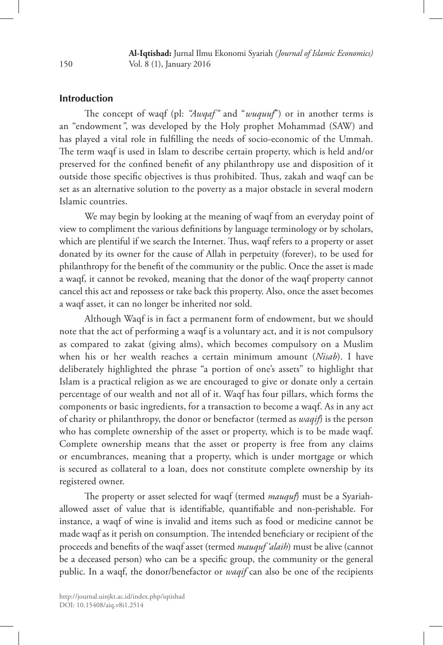## **Introduction**

The concept of waqf (pl: *"Awqaf"* and "*wuquuf*") or in another terms is an "endowment*"*, was developed by the Holy prophet Mohammad (SAW) and has played a vital role in fulfilling the needs of socio-economic of the Ummah. The term waqf is used in Islam to describe certain property, which is held and/or preserved for the confined benefit of any philanthropy use and disposition of it outside those specific objectives is thus prohibited. Thus, zakah and waqf can be set as an alternative solution to the poverty as a major obstacle in several modern Islamic countries.

We may begin by looking at the meaning of waqf from an everyday point of view to compliment the various definitions by language terminology or by scholars, which are plentiful if we search the Internet. Thus, waqf refers to a property or asset donated by its owner for the cause of Allah in perpetuity (forever), to be used for philanthropy for the benefit of the community or the public. Once the asset is made a waqf, it cannot be revoked, meaning that the donor of the waqf property cannot cancel this act and repossess or take back this property. Also, once the asset becomes a waqf asset, it can no longer be inherited nor sold.

Although Waqf is in fact a permanent form of endowment, but we should note that the act of performing a waqf is a voluntary act, and it is not compulsory as compared to zakat (giving alms), which becomes compulsory on a Muslim when his or her wealth reaches a certain minimum amount (*Nisab*). I have deliberately highlighted the phrase "a portion of one's assets" to highlight that Islam is a practical religion as we are encouraged to give or donate only a certain percentage of our wealth and not all of it. Waqf has four pillars, which forms the components or basic ingredients, for a transaction to become a waqf. As in any act of charity or philanthropy, the donor or benefactor (termed as *waqif*) is the person who has complete ownership of the asset or property, which is to be made waqf. Complete ownership means that the asset or property is free from any claims or encumbrances, meaning that a property, which is under mortgage or which is secured as collateral to a loan, does not constitute complete ownership by its registered owner.

The property or asset selected for waqf (termed *mauquf*) must be a Syariahallowed asset of value that is identifiable, quantifiable and non-perishable. For instance, a waqf of wine is invalid and items such as food or medicine cannot be made waqf as it perish on consumption. The intended beneficiary or recipient of the proceeds and benefits of the waqf asset (termed *mauquf 'alaih*) must be alive (cannot be a deceased person) who can be a specific group, the community or the general public. In a waqf, the donor/benefactor or *waqif* can also be one of the recipients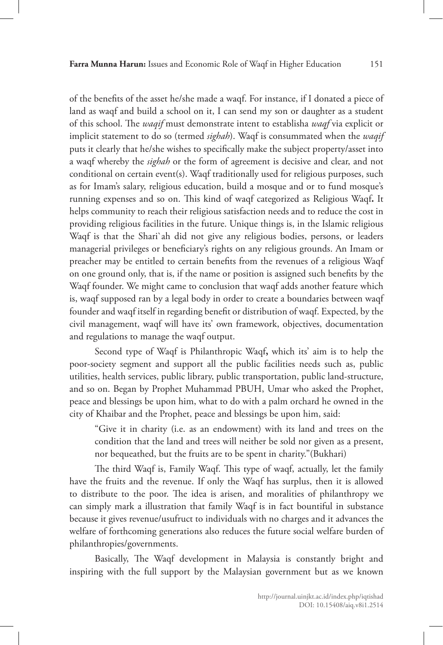of the benefits of the asset he/she made a waqf. For instance, if I donated a piece of land as waqf and build a school on it, I can send my son or daughter as a student of this school. The *waqif* must demonstrate intent to establisha *waqf* via explicit or implicit statement to do so (termed *sighah*). Waqf is consummated when the *waqif*  puts it clearly that he/she wishes to specifically make the subject property/asset into a waqf whereby the *sighah* or the form of agreement is decisive and clear, and not conditional on certain event(s). Waqf traditionally used for religious purposes, such as for Imam's salary, religious education, build a mosque and or to fund mosque's running expenses and so on. This kind of waqf categorized as Religious Waqf**.** It helps community to reach their religious satisfaction needs and to reduce the cost in providing religious facilities in the future. Unique things is, in the Islamic religious Waqf is that the Shari`ah did not give any religious bodies, persons, or leaders managerial privileges or beneficiary's rights on any religious grounds. An Imam or preacher may be entitled to certain benefits from the revenues of a religious Waqf on one ground only, that is, if the name or position is assigned such benefits by the Waqf founder. We might came to conclusion that waqf adds another feature which is, waqf supposed ran by a legal body in order to create a boundaries between waqf founder and waqf itself in regarding benefit or distribution of waqf. Expected, by the civil management, waqf will have its' own framework, objectives, documentation and regulations to manage the waqf output.

Second type of Waqf is Philanthropic Waqf**,** which its' aim is to help the poor-society segment and support all the public facilities needs such as, public utilities, health services, public library, public transportation, public land-structure, and so on. Began by Prophet Muhammad PBUH, Umar who asked the Prophet, peace and blessings be upon him, what to do with a palm orchard he owned in the city of Khaibar and the Prophet, peace and blessings be upon him, said:

"Give it in charity (i.e. as an endowment) with its land and trees on the condition that the land and trees will neither be sold nor given as a present, nor bequeathed, but the fruits are to be spent in charity."(Bukhari)

The third Waqf is, Family Waqf. This type of waqf, actually, let the family have the fruits and the revenue. If only the Waqf has surplus, then it is allowed to distribute to the poor. The idea is arisen, and moralities of philanthropy we can simply mark a illustration that family Waqf is in fact bountiful in substance because it gives revenue/usufruct to individuals with no charges and it advances the welfare of forthcoming generations also reduces the future social welfare burden of philanthropies/governments.

Basically, The Waqf development in Malaysia is constantly bright and inspiring with the full support by the Malaysian government but as we known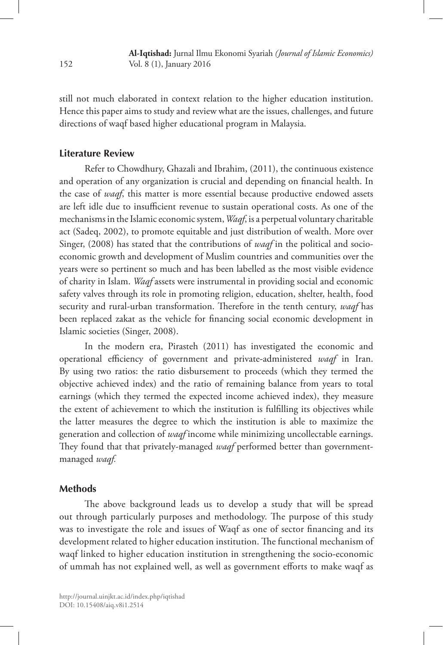still not much elaborated in context relation to the higher education institution. Hence this paper aims to study and review what are the issues, challenges, and future directions of waqf based higher educational program in Malaysia.

## **Literature Review**

Refer to Chowdhury, Ghazali and Ibrahim, (2011), the continuous existence and operation of any organization is crucial and depending on financial health. In the case of *waqf*, this matter is more essential because productive endowed assets are left idle due to insufficient revenue to sustain operational costs. As one of the mechanisms in the Islamic economic system, *Waqf*, is a perpetual voluntary charitable act (Sadeq, 2002), to promote equitable and just distribution of wealth. More over Singer, (2008) has stated that the contributions of *waqf* in the political and socioeconomic growth and development of Muslim countries and communities over the years were so pertinent so much and has been labelled as the most visible evidence of charity in Islam. *Waqf* assets were instrumental in providing social and economic safety valves through its role in promoting religion, education, shelter, health, food security and rural-urban transformation. Therefore in the tenth century, *waqf* has been replaced zakat as the vehicle for financing social economic development in Islamic societies (Singer, 2008).

In the modern era, Pirasteh (2011) has investigated the economic and operational efficiency of government and private-administered *waqf* in Iran. By using two ratios: the ratio disbursement to proceeds (which they termed the objective achieved index) and the ratio of remaining balance from years to total earnings (which they termed the expected income achieved index), they measure the extent of achievement to which the institution is fulfilling its objectives while the latter measures the degree to which the institution is able to maximize the generation and collection of *waqf* income while minimizing uncollectable earnings. They found that that privately-managed *waqf* performed better than governmentmanaged *waqf.*

#### **Methods**

The above background leads us to develop a study that will be spread out through particularly purposes and methodology. The purpose of this study was to investigate the role and issues of Waqf as one of sector financing and its development related to higher education institution. The functional mechanism of waqf linked to higher education institution in strengthening the socio-economic of ummah has not explained well, as well as government efforts to make waqf as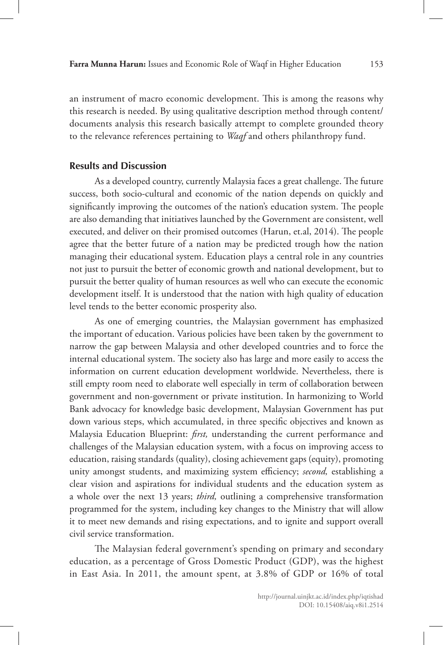an instrument of macro economic development. This is among the reasons why this research is needed. By using qualitative description method through content/ documents analysis this research basically attempt to complete grounded theory to the relevance references pertaining to *Waqf* and others philanthropy fund.

## **Results and Discussion**

As a developed country, currently Malaysia faces a great challenge. The future success, both socio-cultural and economic of the nation depends on quickly and significantly improving the outcomes of the nation's education system. The people are also demanding that initiatives launched by the Government are consistent, well executed, and deliver on their promised outcomes (Harun, et.al, 2014). The people agree that the better future of a nation may be predicted trough how the nation managing their educational system. Education plays a central role in any countries not just to pursuit the better of economic growth and national development, but to pursuit the better quality of human resources as well who can execute the economic development itself. It is understood that the nation with high quality of education level tends to the better economic prosperity also.

As one of emerging countries, the Malaysian government has emphasized the important of education. Various policies have been taken by the government to narrow the gap between Malaysia and other developed countries and to force the internal educational system. The society also has large and more easily to access the information on current education development worldwide. Nevertheless, there is still empty room need to elaborate well especially in term of collaboration between government and non-government or private institution. In harmonizing to World Bank advocacy for knowledge basic development, Malaysian Government has put down various steps, which accumulated, in three specific objectives and known as Malaysia Education Blueprint: *first,* understanding the current performance and challenges of the Malaysian education system, with a focus on improving access to education, raising standards (quality), closing achievement gaps (equity), promoting unity amongst students, and maximizing system efficiency; *second,* establishing a clear vision and aspirations for individual students and the education system as a whole over the next 13 years; *third,* outlining a comprehensive transformation programmed for the system, including key changes to the Ministry that will allow it to meet new demands and rising expectations, and to ignite and support overall civil service transformation.

The Malaysian federal government's spending on primary and secondary education, as a percentage of Gross Domestic Product (GDP), was the highest in East Asia. In 2011, the amount spent, at 3.8% of GDP or 16% of total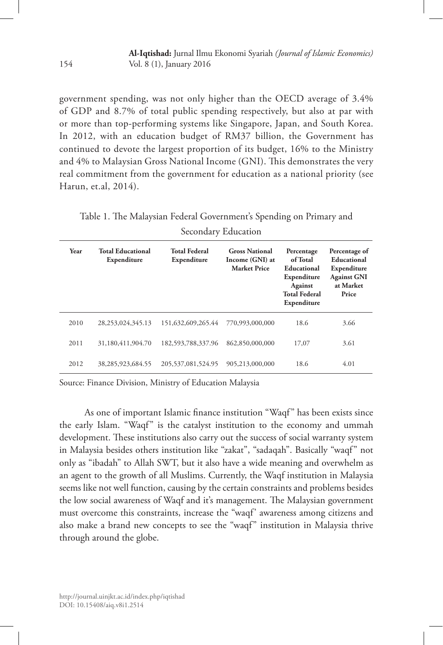government spending, was not only higher than the OECD average of 3.4% of GDP and 8.7% of total public spending respectively, but also at par with or more than top-performing systems like Singapore, Japan, and South Korea. In 2012, with an education budget of RM37 billion, the Government has continued to devote the largest proportion of its budget, 16% to the Ministry and 4% to Malaysian Gross National Income (GNI). This demonstrates the very real commitment from the government for education as a national priority (see Harun, et.al, 2014).

Table 1. The Malaysian Federal Government's Spending on Primary and Secondary Education

| Year | <b>Total Educational</b><br>Expenditure | <b>Total Federal</b><br>Expenditure | <b>Gross National</b><br>Income (GNI) at<br><b>Market Price</b> | Percentage<br>of Total<br>Educational<br>Expenditure<br><b>Against</b><br><b>Total Federal</b><br>Expenditure | Percentage of<br>Educational<br>Expenditure<br><b>Against GNI</b><br>at Market<br>Price |
|------|-----------------------------------------|-------------------------------------|-----------------------------------------------------------------|---------------------------------------------------------------------------------------------------------------|-----------------------------------------------------------------------------------------|
| 2010 | 28, 253, 024, 345. 13                   | 151,632,609,265.44                  | 770,993,000,000                                                 | 18.6                                                                                                          | 3.66                                                                                    |
| 2011 | 31,180,411,904.70                       | 182,593,788,337.96                  | 862,850,000,000                                                 | 17,07                                                                                                         | 3.61                                                                                    |
| 2012 | 38, 285, 923, 684. 55                   | 205, 537, 081, 524. 95              | 905,213,000,000                                                 | 18.6                                                                                                          | 4.01                                                                                    |

Source: Finance Division, Ministry of Education Malaysia

As one of important Islamic finance institution "Waqf" has been exists since the early Islam. "Waqf" is the catalyst institution to the economy and ummah development. These institutions also carry out the success of social warranty system in Malaysia besides others institution like "zakat", "sadaqah". Basically "waqf" not only as "ibadah" to Allah SWT, but it also have a wide meaning and overwhelm as an agent to the growth of all Muslims. Currently, the Waqf institution in Malaysia seems like not well function, causing by the certain constraints and problems besides the low social awareness of Waqf and it's management. The Malaysian government must overcome this constraints, increase the "waqf' awareness among citizens and also make a brand new concepts to see the "waqf" institution in Malaysia thrive through around the globe.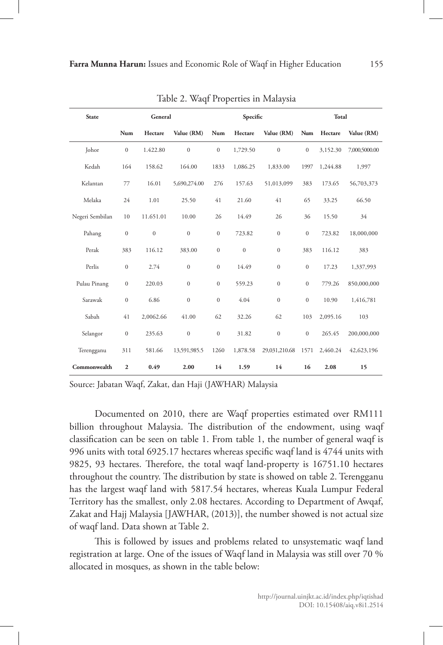| <b>State</b>    | General          |              |                  | Specific         |              |                  | Total            |          |               |
|-----------------|------------------|--------------|------------------|------------------|--------------|------------------|------------------|----------|---------------|
|                 | Num              | Hectare      | Value (RM)       | Num              | Hectare      | Value (RM)       | Num              | Hectare  | Value (RM)    |
| Johor           | $\mathbf{0}$     | 1.422.80     | $\mathbf{0}$     | $\mathbf{0}$     | 1,729.50     | $\boldsymbol{0}$ | $\mathbf{0}$     | 3,152.30 | 7,000,5000.00 |
| Kedah           | 164              | 158.62       | 164.00           | 1833             | 1,086.25     | 1,833.00         | 1997             | 1,244.88 | 1,997         |
| Kelantan        | 77               | 16.01        | 5,690,274.00     | 276              | 157.63       | 51,013,099       | 383              | 173.65   | 56,703,373    |
| Melaka          | 24               | 1.01         | 25.50            | 41               | 21.60        | 41               | 65               | 33.25    | 66.50         |
| Negeri Sembilan | 10               | 11.651.01    | 10.00            | 26               | 14.49        | 26               | 36               | 15.50    | 34            |
| Pahang          | $\boldsymbol{0}$ | $\mathbf{0}$ | $\boldsymbol{0}$ | $\boldsymbol{0}$ | 723.82       | $\boldsymbol{0}$ | $\boldsymbol{0}$ | 723.82   | 18,000,000    |
| Perak           | 383              | 116.12       | 383.00           | $\mathbf{0}$     | $\mathbf{0}$ | $\mathbf{0}$     | 383              | 116.12   | 383           |
| Perlis          | $\boldsymbol{0}$ | 2.74         | $\boldsymbol{0}$ | $\mathbf{0}$     | 14.49        | $\boldsymbol{0}$ | $\boldsymbol{0}$ | 17.23    | 1,337,993     |
| Pulau Pinang    | $\boldsymbol{0}$ | 220.03       | $\boldsymbol{0}$ | $\boldsymbol{0}$ | 559.23       | $\boldsymbol{0}$ | $\boldsymbol{0}$ | 779.26   | 850,000,000   |
| Sarawak         | $\mathbf{0}$     | 6.86         | $\mathbf{0}$     | $\mathbf{0}$     | 4.04         | $\mathbf{0}$     | $\mathbf{0}$     | 10.90    | 1,416,781     |
| Sabah           | 41               | 2,0062.66    | 41.00            | 62               | 32.26        | 62               | 103              | 2,095.16 | 103           |
| Selangor        | $\boldsymbol{0}$ | 235.63       | $\boldsymbol{0}$ | $\boldsymbol{0}$ | 31.82        | $\boldsymbol{0}$ | $\boldsymbol{0}$ | 265.45   | 200,000,000   |
| Terengganu      | 311              | 581.66       | 13,591,985.5     | 1260             | 1,878.58     | 29,031,210.68    | 1571             | 2,460.24 | 42,623,196    |
| Commonwealth    | $\overline{2}$   | 0.49         | 2.00             | 14               | 1.59         | 14               | 16               | 2.08     | 15            |

Table 2. Waqf Properties in Malaysia

Source: Jabatan Waqf, Zakat, dan Haji (JAWHAR) Malaysia

Documented on 2010, there are Waqf properties estimated over RM111 billion throughout Malaysia. The distribution of the endowment, using waqf classification can be seen on table 1. From table 1, the number of general waqf is 996 units with total 6925.17 hectares whereas specific waqf land is 4744 units with 9825, 93 hectares. Therefore, the total waqf land-property is 16751.10 hectares throughout the country. The distribution by state is showed on table 2. Terengganu has the largest waqf land with 5817.54 hectares, whereas Kuala Lumpur Federal Territory has the smallest, only 2.08 hectares. According to Department of Awqaf, Zakat and Hajj Malaysia [JAWHAR, (2013)], the number showed is not actual size of waqf land. Data shown at Table 2.

This is followed by issues and problems related to unsystematic waqf land registration at large. One of the issues of Waqf land in Malaysia was still over 70 % allocated in mosques, as shown in the table below: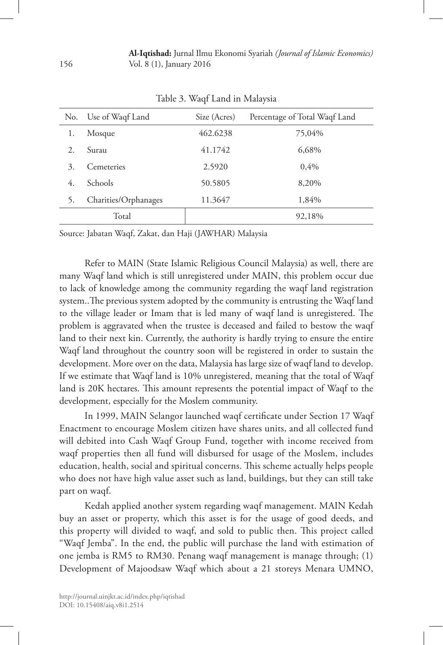| No. | Use of Waqf Land     | Size (Acres) | Percentage of Total Waqf Land |
|-----|----------------------|--------------|-------------------------------|
| 1.  | Mosque               | 462.6238     | 75,04%                        |
| 2.  | Surau                | 41.1742      | 6,68%                         |
| 3.  | Cemeteries           | 2.5920       | $0.4\%$                       |
| 4.  | Schools              | 50.5805      | 8,20%                         |
| 5.  | Charities/Orphanages | 11.3647      | 1,84%                         |
|     | Total                |              | 92,18%                        |

Table 3. Waqf Land in Malaysia

Source: Jabatan Waqf, Zakat, dan Haji (JAWHAR) Malaysia

Refer to MAIN (State Islamic Religious Council Malaysia) as well, there are many Waqf land which is still unregistered under MAIN, this problem occur due to lack of knowledge among the community regarding the waqf land registration system..The previous system adopted by the community is entrusting the Waqf land to the village leader or Imam that is led many of waqf land is unregistered. The problem is aggravated when the trustee is deceased and failed to bestow the waqf land to their next kin. Currently, the authority is hardly trying to ensure the entire Waqf land throughout the country soon will be registered in order to sustain the development. More over on the data, Malaysia has large size of waqf land to develop. If we estimate that Waqf land is 10% unregistered, meaning that the total of Waqf land is 20K hectares. This amount represents the potential impact of Waqf to the development, especially for the Moslem community.

In 1999, MAIN Selangor launched waqf certificate under Section 17 Waqf Enactment to encourage Moslem citizen have shares units, and all collected fund will debited into Cash Waqf Group Fund, together with income received from waqf properties then all fund will disbursed for usage of the Moslem, includes education, health, social and spiritual concerns. This scheme actually helps people who does not have high value asset such as land, buildings, but they can still take part on waqf.

Kedah applied another system regarding waqf management. MAIN Kedah buy an asset or property, which this asset is for the usage of good deeds, and this property will divided to waqf, and sold to public then. This project called "Waqf Jemba". In the end, the public will purchase the land with estimation of one jemba is RM5 to RM30. Penang waqf management is manage through; (1) Development of Majoodsaw Waqf which about a 21 storeys Menara UMNO,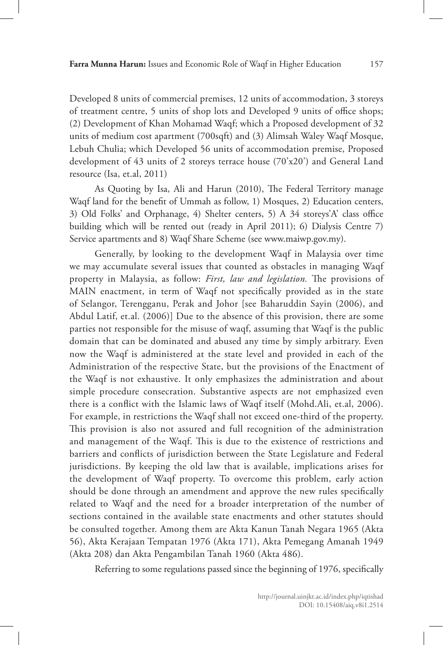Developed 8 units of commercial premises, 12 units of accommodation, 3 storeys of treatment centre, 5 units of shop lots and Developed 9 units of office shops; (2) Development of Khan Mohamad Waqf; which a Proposed development of 32 units of medium cost apartment (700sqft) and (3) Alimsah Waley Waqf Mosque, Lebuh Chulia; which Developed 56 units of accommodation premise, Proposed development of 43 units of 2 storeys terrace house (70'x20') and General Land resource (Isa, et.al, 2011)

As Quoting by Isa, Ali and Harun (2010), The Federal Territory manage Waqf land for the benefit of Ummah as follow, 1) Mosques, 2) Education centers, 3) Old Folks' and Orphanage, 4) Shelter centers, 5) A 34 storeys'A' class office building which will be rented out (ready in April 2011); 6) Dialysis Centre 7) Service apartments and 8) Waqf Share Scheme (see www.maiwp.gov.my).

Generally, by looking to the development Waqf in Malaysia over time we may accumulate several issues that counted as obstacles in managing Waqf property in Malaysia, as follow: *First, law and legislation.* The provisions of MAIN enactment, in term of Waqf not specifically provided as in the state of Selangor, Terengganu, Perak and Johor [see Baharuddin Sayin (2006), and Abdul Latif, et.al. (2006)] Due to the absence of this provision, there are some parties not responsible for the misuse of waqf, assuming that Waqf is the public domain that can be dominated and abused any time by simply arbitrary. Even now the Waqf is administered at the state level and provided in each of the Administration of the respective State, but the provisions of the Enactment of the Waqf is not exhaustive. It only emphasizes the administration and about simple procedure consecration. Substantive aspects are not emphasized even there is a conflict with the Islamic laws of Waqf itself (Mohd.Ali, et.al, 2006). For example, in restrictions the Waqf shall not exceed one-third of the property. This provision is also not assured and full recognition of the administration and management of the Waqf. This is due to the existence of restrictions and barriers and conflicts of jurisdiction between the State Legislature and Federal jurisdictions. By keeping the old law that is available, implications arises for the development of Waqf property. To overcome this problem, early action should be done through an amendment and approve the new rules specifically related to Waqf and the need for a broader interpretation of the number of sections contained in the available state enactments and other statutes should be consulted together. Among them are Akta Kanun Tanah Negara 1965 (Akta 56), Akta Kerajaan Tempatan 1976 (Akta 171), Akta Pemegang Amanah 1949 (Akta 208) dan Akta Pengambilan Tanah 1960 (Akta 486).

Referring to some regulations passed since the beginning of 1976, specifically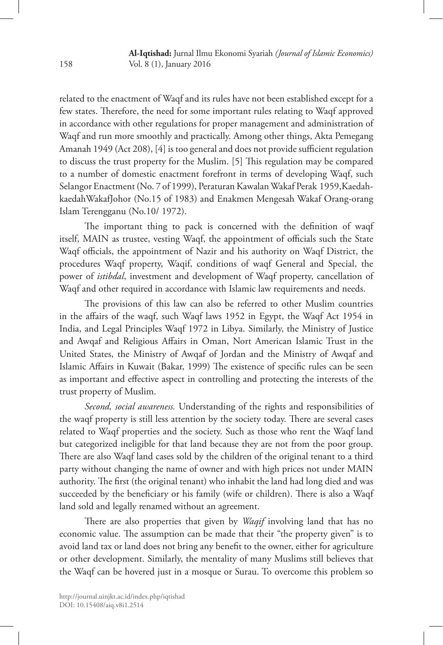related to the enactment of Waqf and its rules have not been established except for a few states. Therefore, the need for some important rules relating to Waqf approved in accordance with other regulations for proper management and administration of Waqf and run more smoothly and practically. Among other things, Akta Pemegang Amanah 1949 (Act 208), [4] is too general and does not provide sufficient regulation to discuss the trust property for the Muslim. [5] This regulation may be compared to a number of domestic enactment forefront in terms of developing Waqf, such Selangor Enactment (No. 7 of 1999), Peraturan Kawalan Wakaf Perak 1959,KaedahkaedahWakafJohor (No.15 of 1983) and Enakmen Mengesah Wakaf Orang-orang Islam Terengganu (No.10/ 1972).

The important thing to pack is concerned with the definition of waqf itself, MAIN as trustee, vesting Waqf, the appointment of officials such the State Waqf officials, the appointment of Nazir and his authority on Waqf District, the procedures Waqf property, Waqif, conditions of waqf General and Special, the power of *istibdal*, investment and development of Waqf property, cancellation of Waqf and other required in accordance with Islamic law requirements and needs.

The provisions of this law can also be referred to other Muslim countries in the affairs of the waqf, such Waqf laws 1952 in Egypt, the Waqf Act 1954 in India, and Legal Principles Waqf 1972 in Libya. Similarly, the Ministry of Justice and Awqaf and Religious Affairs in Oman, Nort American Islamic Trust in the United States, the Ministry of Awqaf of Jordan and the Ministry of Awqaf and Islamic Affairs in Kuwait (Bakar, 1999) The existence of specific rules can be seen as important and effective aspect in controlling and protecting the interests of the trust property of Muslim.

*Second, social awareness.* Understanding of the rights and responsibilities of the waqf property is still less attention by the society today. There are several cases related to Waqf properties and the society. Such as those who rent the Waqf land but categorized ineligible for that land because they are not from the poor group. There are also Waqf land cases sold by the children of the original tenant to a third party without changing the name of owner and with high prices not under MAIN authority. The first (the original tenant) who inhabit the land had long died and was succeeded by the beneficiary or his family (wife or children). There is also a Waqf land sold and legally renamed without an agreement.

There are also properties that given by *Waqif* involving land that has no economic value. The assumption can be made that their "the property given" is to avoid land tax or land does not bring any benefit to the owner, either for agriculture or other development. Similarly, the mentality of many Muslims still believes that the Waqf can be hovered just in a mosque or Surau. To overcome this problem so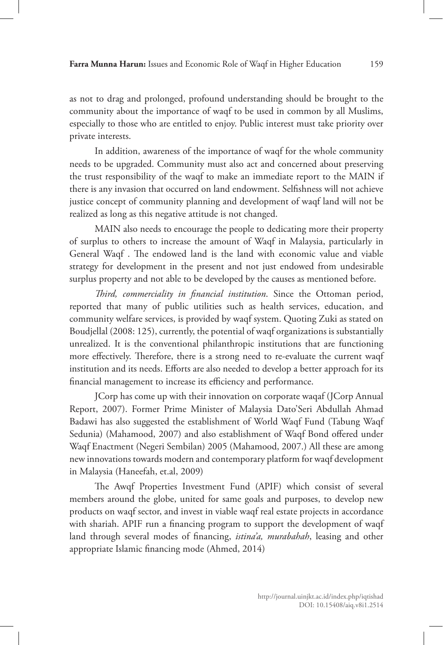as not to drag and prolonged, profound understanding should be brought to the community about the importance of waqf to be used in common by all Muslims, especially to those who are entitled to enjoy. Public interest must take priority over private interests.

In addition, awareness of the importance of waqf for the whole community needs to be upgraded. Community must also act and concerned about preserving the trust responsibility of the waqf to make an immediate report to the MAIN if there is any invasion that occurred on land endowment. Selfishness will not achieve justice concept of community planning and development of waqf land will not be realized as long as this negative attitude is not changed.

MAIN also needs to encourage the people to dedicating more their property of surplus to others to increase the amount of Waqf in Malaysia, particularly in General Waqf . The endowed land is the land with economic value and viable strategy for development in the present and not just endowed from undesirable surplus property and not able to be developed by the causes as mentioned before.

*Third, commerciality in financial institution*. Since the Ottoman period, reported that many of public utilities such as health services, education, and community welfare services, is provided by waqf system. Quoting Zuki as stated on Boudjellal (2008: 125), currently, the potential of waqf organizations is substantially unrealized. It is the conventional philanthropic institutions that are functioning more effectively. Therefore, there is a strong need to re-evaluate the current waqf institution and its needs. Efforts are also needed to develop a better approach for its financial management to increase its efficiency and performance.

JCorp has come up with their innovation on corporate waqaf (JCorp Annual Report, 2007). Former Prime Minister of Malaysia Dato'Seri Abdullah Ahmad Badawi has also suggested the establishment of World Waqf Fund (Tabung Waqf Sedunia) (Mahamood, 2007) and also establishment of Waqf Bond offered under Waqf Enactment (Negeri Sembilan) 2005 (Mahamood, 2007.) All these are among new innovations towards modern and contemporary platform for waqf development in Malaysia (Haneefah, et.al, 2009)

The Awqf Properties Investment Fund (APIF) which consist of several members around the globe, united for same goals and purposes, to develop new products on waqf sector, and invest in viable waqf real estate projects in accordance with shariah. APIF run a financing program to support the development of waqf land through several modes of financing, *istina'a, murabahah*, leasing and other appropriate Islamic financing mode (Ahmed, 2014)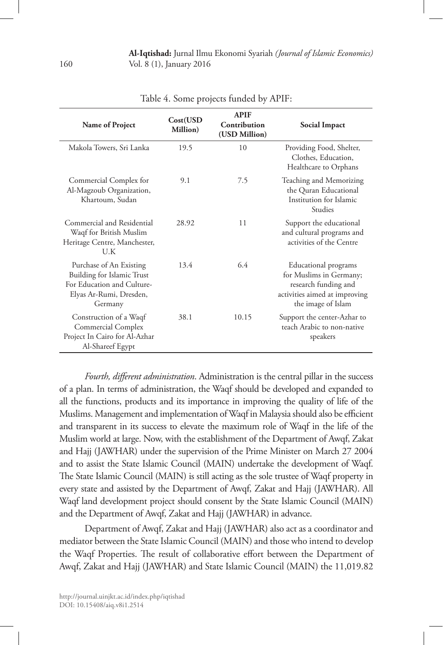| Name of Project                                                                                                                  | Cost(USD<br>Million) | <b>APIF</b><br>Contribution<br>(USD Million) | Social Impact                                                                                                                  |
|----------------------------------------------------------------------------------------------------------------------------------|----------------------|----------------------------------------------|--------------------------------------------------------------------------------------------------------------------------------|
| Makola Towers, Sri Lanka                                                                                                         | 19.5                 | 10                                           | Providing Food, Shelter,<br>Clothes, Education,<br>Healthcare to Orphans                                                       |
| Commercial Complex for<br>Al-Magzoub Organization,<br>Khartoum, Sudan                                                            | 9.1                  | 7.5                                          | Teaching and Memorizing<br>the Quran Educational<br>Institution for Islamic<br><b>Studies</b>                                  |
| Commercial and Residential<br>Waqf for British Muslim<br>Heritage Centre, Manchester,<br>U.K                                     | 28.92                | 11                                           | Support the educational<br>and cultural programs and<br>activities of the Centre                                               |
| Purchase of An Existing<br><b>Building for Islamic Trust</b><br>For Education and Culture-<br>Elyas Ar-Rumi, Dresden,<br>Germany | 13.4                 | 6.4                                          | Educational programs<br>for Muslims in Germany;<br>research funding and<br>activities aimed at improving<br>the image of Islam |
| Construction of a Waqf<br>Commercial Complex<br>Project In Cairo for Al-Azhar<br>Al-Shareef Egypt                                | 38.1                 | 10.15                                        | Support the center-Azhar to<br>teach Arabic to non-native<br>speakers                                                          |

Table 4. Some projects funded by APIF:

*Fourth, different administration*. Administration is the central pillar in the success of a plan. In terms of administration, the Waqf should be developed and expanded to all the functions, products and its importance in improving the quality of life of the Muslims. Management and implementation of Waqf in Malaysia should also be efficient and transparent in its success to elevate the maximum role of Waqf in the life of the Muslim world at large. Now, with the establishment of the Department of Awqf, Zakat and Hajj (JAWHAR) under the supervision of the Prime Minister on March 27 2004 and to assist the State Islamic Council (MAIN) undertake the development of Waqf. The State Islamic Council (MAIN) is still acting as the sole trustee of Waqf property in every state and assisted by the Department of Awqf, Zakat and Hajj (JAWHAR). All Waqf land development project should consent by the State Islamic Council (MAIN) and the Department of Awqf, Zakat and Hajj (JAWHAR) in advance.

Department of Awqf, Zakat and Hajj (JAWHAR) also act as a coordinator and mediator between the State Islamic Council (MAIN) and those who intend to develop the Waqf Properties. The result of collaborative effort between the Department of Awqf, Zakat and Hajj (JAWHAR) and State Islamic Council (MAIN) the 11,019.82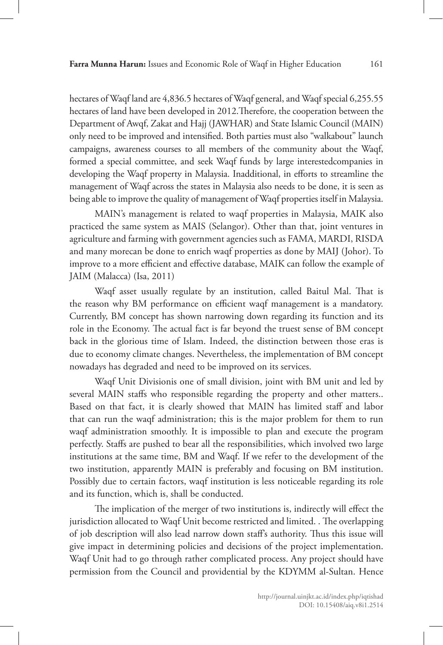hectares of Waqf land are 4,836.5 hectares of Waqf general, and Waqf special 6,255.55 hectares of land have been developed in 2012.Therefore, the cooperation between the Department of Awqf, Zakat and Hajj (JAWHAR) and State Islamic Council (MAIN) only need to be improved and intensified. Both parties must also "walkabout" launch campaigns, awareness courses to all members of the community about the Waqf, formed a special committee, and seek Waqf funds by large interestedcompanies in developing the Waqf property in Malaysia. Inadditional, in efforts to streamline the management of Waqf across the states in Malaysia also needs to be done, it is seen as being able to improve the quality of management of Waqf properties itself in Malaysia.

MAIN's management is related to waqf properties in Malaysia, MAIK also practiced the same system as MAIS (Selangor). Other than that, joint ventures in agriculture and farming with government agencies such as FAMA, MARDI, RISDA and many morecan be done to enrich waqf properties as done by MAIJ (Johor). To improve to a more efficient and effective database, MAIK can follow the example of JAIM (Malacca) (Isa, 2011)

Waqf asset usually regulate by an institution, called Baitul Mal. That is the reason why BM performance on efficient waqf management is a mandatory. Currently, BM concept has shown narrowing down regarding its function and its role in the Economy. The actual fact is far beyond the truest sense of BM concept back in the glorious time of Islam. Indeed, the distinction between those eras is due to economy climate changes. Nevertheless, the implementation of BM concept nowadays has degraded and need to be improved on its services.

Waqf Unit Divisionis one of small division, joint with BM unit and led by several MAIN staffs who responsible regarding the property and other matters.. Based on that fact, it is clearly showed that MAIN has limited staff and labor that can run the waqf administration; this is the major problem for them to run waqf administration smoothly. It is impossible to plan and execute the program perfectly. Staffs are pushed to bear all the responsibilities, which involved two large institutions at the same time, BM and Waqf. If we refer to the development of the two institution, apparently MAIN is preferably and focusing on BM institution. Possibly due to certain factors, waqf institution is less noticeable regarding its role and its function, which is, shall be conducted.

The implication of the merger of two institutions is, indirectly will effect the jurisdiction allocated to Waqf Unit become restricted and limited. . The overlapping of job description will also lead narrow down staff's authority. Thus this issue will give impact in determining policies and decisions of the project implementation. Waqf Unit had to go through rather complicated process. Any project should have permission from the Council and providential by the KDYMM al-Sultan. Hence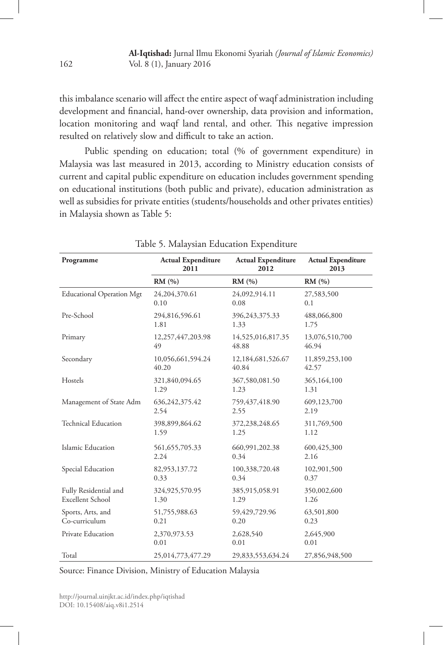this imbalance scenario will affect the entire aspect of waqf administration including development and financial, hand-over ownership, data provision and information, location monitoring and waqf land rental, and other. This negative impression resulted on relatively slow and difficult to take an action.

Public spending on education; total (% of government expenditure) in Malaysia was last measured in 2013, according to Ministry education consists of current and capital public expenditure on education includes government spending on educational institutions (both public and private), education administration as well as subsidies for private entities (students/households and other privates entities) in Malaysia shown as Table 5:

| Programme                        | <b>Actual Expenditure</b> | <b>Actual Expenditure</b> | <b>Actual Expenditure</b> |  |
|----------------------------------|---------------------------|---------------------------|---------------------------|--|
|                                  | 2011                      | 2012                      | 2013                      |  |
|                                  | RM(%)                     | RM(%)                     | RM(%)                     |  |
| <b>Educational Operation Mgt</b> | 24,204,370.61             | 24,092,914.11             | 27,583,500                |  |
|                                  | 0.10                      | 0.08                      | 0.1                       |  |
| Pre-School                       | 294,816,596.61            | 396,243,375.33            | 488,066,800               |  |
|                                  | 1.81                      | 1.33                      | 1.75                      |  |
| Primary                          | 12,257,447,203.98         | 14,525,016,817.35         | 13,076,510,700            |  |
|                                  | 49                        | 48.88                     | 46.94                     |  |
| Secondary                        | 10,056,661,594.24         | 12,184,681,526.67         | 11,859,253,100            |  |
|                                  | 40.20                     | 40.84                     | 42.57                     |  |
| Hostels                          | 321,840,094.65            | 367,580,081.50            | 365,164,100               |  |
|                                  | 1.29                      | 1.23                      | 1.31                      |  |
| Management of State Adm          | 636, 242, 375. 42         | 759,437,418.90            | 609,123,700               |  |
|                                  | 2.54                      | 2.55                      | 2.19                      |  |
| <b>Technical Education</b>       | 398,899,864.62            | 372,238,248.65            | 311,769,500               |  |
|                                  | 1.59                      | 1.25                      | 1.12                      |  |
| Islamic Education                | 561, 655, 705. 33         | 660,991,202.38            | 600,425,300               |  |
|                                  | 2.24                      | 0.34                      | 2.16                      |  |
| Special Education                | 82,953,137.72             | 100,338,720.48            | 102,901,500               |  |
|                                  | 0.33                      | 0.34                      | 0.37                      |  |
| Fully Residential and            | 324,925,570.95            | 385,915,058.91            | 350,002,600               |  |
| Excellent School                 | 1.30                      | 1.29                      | 1.26                      |  |
| Sports, Arts, and                | 51,755,988.63             | 59,429,729.96             | 63,501,800                |  |
| Co-curriculum                    | 0.21                      | 0.20                      | 0.23                      |  |
| Private Education                | 2,370,973.53              | 2,628,540                 | 2,645,900                 |  |
|                                  | 0.01                      | 0.01                      | 0.01                      |  |
| Total                            | 25,014,773,477.29         | 29,833,553,634.24         | 27,856,948,500            |  |

Table 5. Malaysian Education Expenditure

Source: Finance Division, Ministry of Education Malaysia

http://journal.uinjkt.ac.id/index.php/iqtishad DOI: 10.15408/aiq.v8i1.2514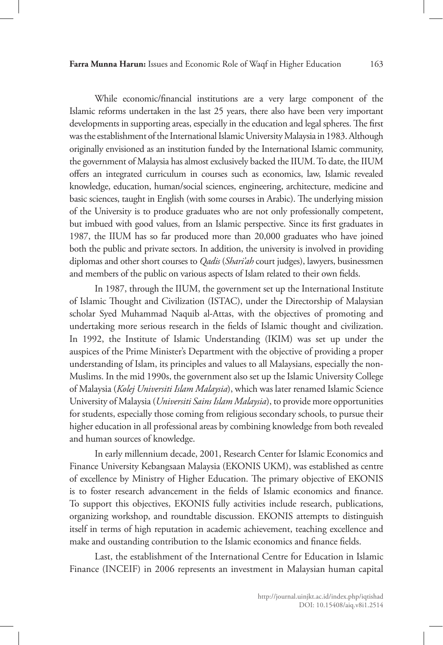While economic/financial institutions are a very large component of the Islamic reforms undertaken in the last 25 years, there also have been very important developments in supporting areas, especially in the education and legal spheres. The first was the establishment of the International Islamic University Malaysia in 1983. Although originally envisioned as an institution funded by the International Islamic community, the government of Malaysia has almost exclusively backed the IIUM. To date, the IIUM offers an integrated curriculum in courses such as economics, law, Islamic revealed knowledge, education, human/social sciences, engineering, architecture, medicine and basic sciences, taught in English (with some courses in Arabic). The underlying mission of the University is to produce graduates who are not only professionally competent, but imbued with good values, from an Islamic perspective. Since its first graduates in 1987, the IIUM has so far produced more than 20,000 graduates who have joined both the public and private sectors. In addition, the university is involved in providing diplomas and other short courses to *Qadis* (*Shari'ah* court judges), lawyers, businessmen and members of the public on various aspects of Islam related to their own fields.

In 1987, through the IIUM, the government set up the International Institute of Islamic Thought and Civilization (ISTAC), under the Directorship of Malaysian scholar Syed Muhammad Naquib al-Attas, with the objectives of promoting and undertaking more serious research in the fields of Islamic thought and civilization. In 1992, the Institute of Islamic Understanding (IKIM) was set up under the auspices of the Prime Minister's Department with the objective of providing a proper understanding of Islam, its principles and values to all Malaysians, especially the non-Muslims. In the mid 1990s, the government also set up the Islamic University College of Malaysia (*Kolej Universiti Islam Malaysia*), which was later renamed Islamic Science University of Malaysia (*Universiti Sains Islam Malaysia*), to provide more opportunities for students, especially those coming from religious secondary schools, to pursue their higher education in all professional areas by combining knowledge from both revealed and human sources of knowledge.

In early millennium decade, 2001, Research Center for Islamic Economics and Finance University Kebangsaan Malaysia (EKONIS UKM), was established as centre of excellence by Ministry of Higher Education. The primary objective of EKONIS is to foster research advancement in the fields of Islamic economics and finance. To support this objectives, EKONIS fully activities include research, publications, organizing workshop, and roundtable discussion. EKONIS attempts to distinguish itself in terms of high reputation in academic achievement, teaching excellence and make and oustanding contribution to the Islamic economics and finance fields.

Last, the establishment of the International Centre for Education in Islamic Finance (INCEIF) in 2006 represents an investment in Malaysian human capital

> http://journal.uinjkt.ac.id/index.php/iqtishad DOI: 10.15408/aiq.v8i1.2514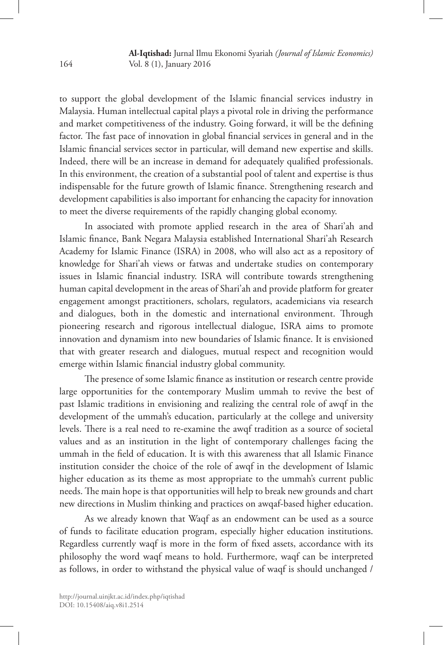to support the global development of the Islamic financial services industry in Malaysia. Human intellectual capital plays a pivotal role in driving the performance and market competitiveness of the industry. Going forward, it will be the defining factor. The fast pace of innovation in global financial services in general and in the Islamic financial services sector in particular, will demand new expertise and skills. Indeed, there will be an increase in demand for adequately qualified professionals. In this environment, the creation of a substantial pool of talent and expertise is thus indispensable for the future growth of Islamic finance. Strengthening research and development capabilities is also important for enhancing the capacity for innovation to meet the diverse requirements of the rapidly changing global economy.

In associated with promote applied research in the area of Shari'ah and Islamic finance, Bank Negara Malaysia established International Shari'ah Research Academy for Islamic Finance (ISRA) in 2008, who will also act as a repository of knowledge for Shari'ah views or fatwas and undertake studies on contemporary issues in Islamic financial industry. ISRA will contribute towards strengthening human capital development in the areas of Shari'ah and provide platform for greater engagement amongst practitioners, scholars, regulators, academicians via research and dialogues, both in the domestic and international environment. Through pioneering research and rigorous intellectual dialogue, ISRA aims to promote innovation and dynamism into new boundaries of Islamic finance. It is envisioned that with greater research and dialogues, mutual respect and recognition would emerge within Islamic financial industry global community.

The presence of some Islamic finance as institution or research centre provide large opportunities for the contemporary Muslim ummah to revive the best of past Islamic traditions in envisioning and realizing the central role of awqf in the development of the ummah's education, particularly at the college and university levels. There is a real need to re-examine the awqf tradition as a source of societal values and as an institution in the light of contemporary challenges facing the ummah in the field of education. It is with this awareness that all Islamic Finance institution consider the choice of the role of awqf in the development of Islamic higher education as its theme as most appropriate to the ummah's current public needs. The main hope is that opportunities will help to break new grounds and chart new directions in Muslim thinking and practices on awqaf-based higher education.

As we already known that Waqf as an endowment can be used as a source of funds to facilitate education program, especially higher education institutions. Regardless currently waqf is more in the form of fixed assets, accordance with its philosophy the word waqf means to hold. Furthermore, waqf can be interpreted as follows, in order to withstand the physical value of waqf is should unchanged /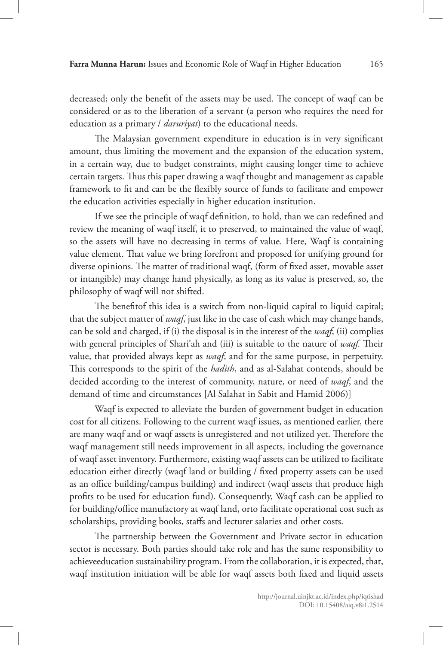decreased; only the benefit of the assets may be used. The concept of waqf can be considered or as to the liberation of a servant (a person who requires the need for education as a primary / *daruriyat*) to the educational needs.

The Malaysian government expenditure in education is in very significant amount, thus limiting the movement and the expansion of the education system, in a certain way, due to budget constraints, might causing longer time to achieve certain targets. Thus this paper drawing a waqf thought and management as capable framework to fit and can be the flexibly source of funds to facilitate and empower the education activities especially in higher education institution.

If we see the principle of waqf definition, to hold, than we can redefined and review the meaning of waqf itself, it to preserved, to maintained the value of waqf, so the assets will have no decreasing in terms of value. Here, Waqf is containing value element. That value we bring forefront and proposed for unifying ground for diverse opinions. The matter of traditional waqf, (form of fixed asset, movable asset or intangible) may change hand physically, as long as its value is preserved, so, the philosophy of waqf will not shifted.

The benefitof this idea is a switch from non-liquid capital to liquid capital; that the subject matter of *waqf*, just like in the case of cash which may change hands, can be sold and charged, if (i) the disposal is in the interest of the *waqf*, (ii) complies with general principles of Shari'ah and (iii) is suitable to the nature of *waqf.* Their value, that provided always kept as *waqf*, and for the same purpose, in perpetuity. This corresponds to the spirit of the *hadith*, and as al-Salahat contends, should be decided according to the interest of community, nature, or need of *waqf*, and the demand of time and circumstances [Al Salahat in Sabit and Hamid 2006)]

Waqf is expected to alleviate the burden of government budget in education cost for all citizens. Following to the current waqf issues, as mentioned earlier, there are many waqf and or waqf assets is unregistered and not utilized yet. Therefore the waqf management still needs improvement in all aspects, including the governance of waqf asset inventory. Furthermore, existing waqf assets can be utilized to facilitate education either directly (waqf land or building / fixed property assets can be used as an office building/campus building) and indirect (waqf assets that produce high profits to be used for education fund). Consequently, Waqf cash can be applied to for building/office manufactory at waqf land, orto facilitate operational cost such as scholarships, providing books, staffs and lecturer salaries and other costs.

The partnership between the Government and Private sector in education sector is necessary. Both parties should take role and has the same responsibility to achieveeducation sustainability program. From the collaboration, it is expected, that, waqf institution initiation will be able for waqf assets both fixed and liquid assets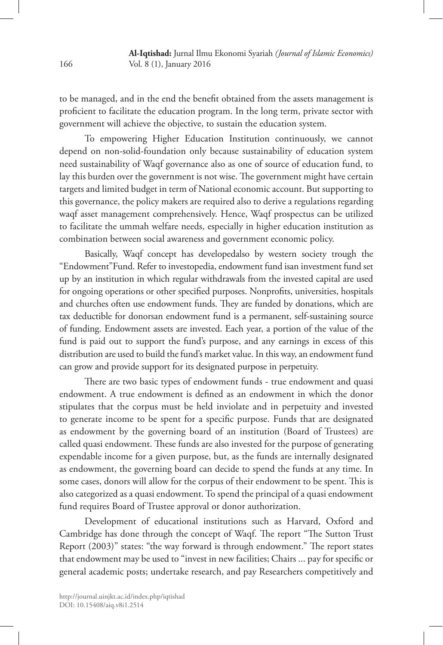to be managed, and in the end the benefit obtained from the assets management is proficient to facilitate the education program. In the long term, private sector with government will achieve the objective, to sustain the education system.

To empowering Higher Education Institution continuously, we cannot depend on non-solid-foundation only because sustainability of education system need sustainability of Waqf governance also as one of source of education fund, to lay this burden over the government is not wise. The government might have certain targets and limited budget in term of National economic account. But supporting to this governance, the policy makers are required also to derive a regulations regarding waqf asset management comprehensively. Hence, Waqf prospectus can be utilized to facilitate the ummah welfare needs, especially in higher education institution as combination between social awareness and government economic policy.

Basically, Waqf concept has developedalso by western society trough the "Endowment"Fund. Refer to investopedia, endowment fund isan investment fund set up by an institution in which regular withdrawals from the invested capital are used for ongoing operations or other specified purposes. Nonprofits, universities, hospitals and churches often use endowment funds. They are funded by donations, which are tax deductible for donorsan endowment fund is a permanent, self-sustaining source of funding. Endowment assets are invested. Each year, a portion of the value of the fund is paid out to support the fund's purpose, and any earnings in excess of this distribution are used to build the fund's market value. In this way, an endowment fund can grow and provide support for its designated purpose in perpetuity.

There are two basic types of endowment funds - true endowment and quasi endowment. A true endowment is defined as an endowment in which the donor stipulates that the corpus must be held inviolate and in perpetuity and invested to generate income to be spent for a specific purpose. Funds that are designated as endowment by the governing board of an institution (Board of Trustees) are called quasi endowment. These funds are also invested for the purpose of generating expendable income for a given purpose, but, as the funds are internally designated as endowment, the governing board can decide to spend the funds at any time. In some cases, donors will allow for the corpus of their endowment to be spent. This is also categorized as a quasi endowment. To spend the principal of a quasi endowment fund requires Board of Trustee approval or donor authorization.

Development of educational institutions such as Harvard, Oxford and Cambridge has done through the concept of Waqf. The report "The Sutton Trust Report (2003)" states: "the way forward is through endowment." The report states that endowment may be used to "invest in new facilities; Chairs ... pay for specific or general academic posts; undertake research, and pay Researchers competitively and

DOI: 10.15408/aiq.v8i1.2514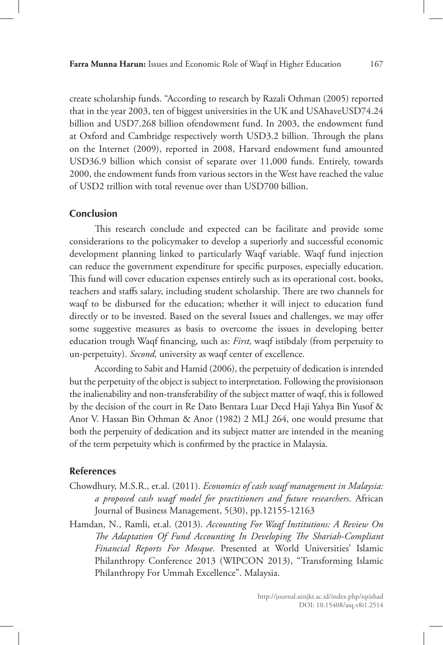create scholarship funds. "According to research by Razali Othman (2005) reported that in the year 2003, ten of biggest universities in the UK and USAhaveUSD74.24 billion and USD7.268 billion ofendowment fund. In 2003, the endowment fund at Oxford and Cambridge respectively worth USD3.2 billion. Through the plans on the Internet (2009), reported in 2008, Harvard endowment fund amounted USD36.9 billion which consist of separate over 11,000 funds. Entirely, towards 2000, the endowment funds from various sectors in the West have reached the value of USD2 trillion with total revenue over than USD700 billion.

### **Conclusion**

This research conclude and expected can be facilitate and provide some considerations to the policymaker to develop a superiorly and successful economic development planning linked to particularly Waqf variable. Waqf fund injection can reduce the government expenditure for specific purposes, especially education. This fund will cover education expenses entirely such as its operational cost, books, teachers and staffs salary, including student scholarship. There are two channels for waqf to be disbursed for the education; whether it will inject to education fund directly or to be invested. Based on the several Issues and challenges, we may offer some suggestive measures as basis to overcome the issues in developing better education trough Waqf financing, such as: *First,* waqf istibdaly (from perpetuity to un-perpetuity). *Second,* university as waqf center of excellence.

According to Sabit and Hamid (2006), the perpetuity of dedication is intended but the perpetuity of the object is subject to interpretation. Following the provisionson the inalienability and non-transferability of the subject matter of waqf, this is followed by the decision of the court in Re Dato Bentara Luar Decd Haji Yahya Bin Yusof & Anor V. Hassan Bin Othman & Anor (1982) 2 MLJ 264, one would presume that both the perpetuity of dedication and its subject matter are intended in the meaning of the term perpetuity which is confirmed by the practice in Malaysia.

## **References**

- Chowdhury, M.S.R., et.al. (2011). *Economics of cash waqf management in Malaysia: a proposed cash waqf model for practitioners and future researchers*. African Journal of Business Management, 5(30), pp.12155-12163
- Hamdan, N., Ramli, et.al. (2013). *Accounting For Waqf Institutions: A Review On The Adaptation Of Fund Accounting In Developing The Shariah-Compliant Financial Reports For Mosque*. Presented at World Universities' Islamic Philanthropy Conference 2013 (WIPCON 2013), "Transforming Islamic Philanthropy For Ummah Excellence". Malaysia.